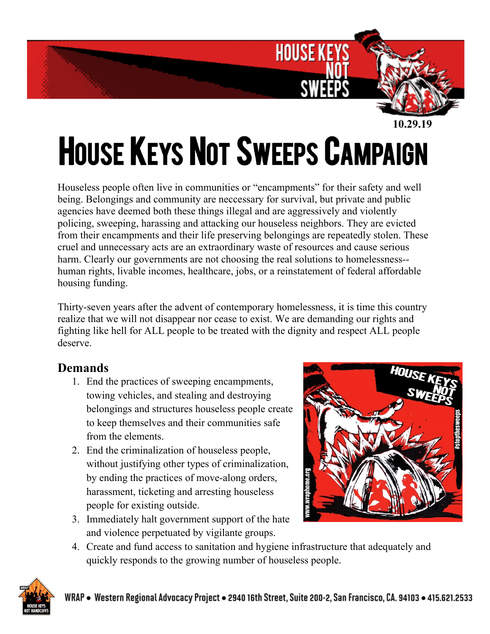

 **<sup>10.29.19</sup>**

## **HOUSE KEYS NOT SWEEPS CAMPAIGN**

Houseless people often live in communities or "encampments" for their safety and well being. Belongings and community are neccessary for survival, but private and public agencies have deemed both these things illegal and are aggressively and violently policing, sweeping, harassing and attacking our houseless neighbors. They are evicted from their encampments and their life preserving belongings are repeatedly stolen. These cruel and unnecessary acts are an extraordinary waste of resources and cause serious harm. Clearly our governments are not choosing the real solutions to homelessness- human rights, livable incomes, healthcare, jobs, or a reinstatement of federal affordable housing funding.

Thirty-seven years after the advent of contemporary homelessness, it is time this country realize that we will not disappear nor cease to exist. We are demanding our rights and fighting like hell for ALL people to be treated with the dignity and respect ALL people deserve.

## **Demands**

- 1. End the practices of sweeping encampments, towing vehicles, and stealing and destroying belongings and structures houseless people create to keep themselves and their communities safe from the elements.
- 2. End the criminalization of houseless people, without justifying other types of criminalization, by ending the practices of move-along orders, harassment, ticketing and arresting houseless people for existing outside.
- 3. Immediately halt government support of the hate and violence perpetuated by vigilante groups.



4. Create and fund access to sanitation and hygiene infrastructure that adequately and quickly responds to the growing number of houseless people.